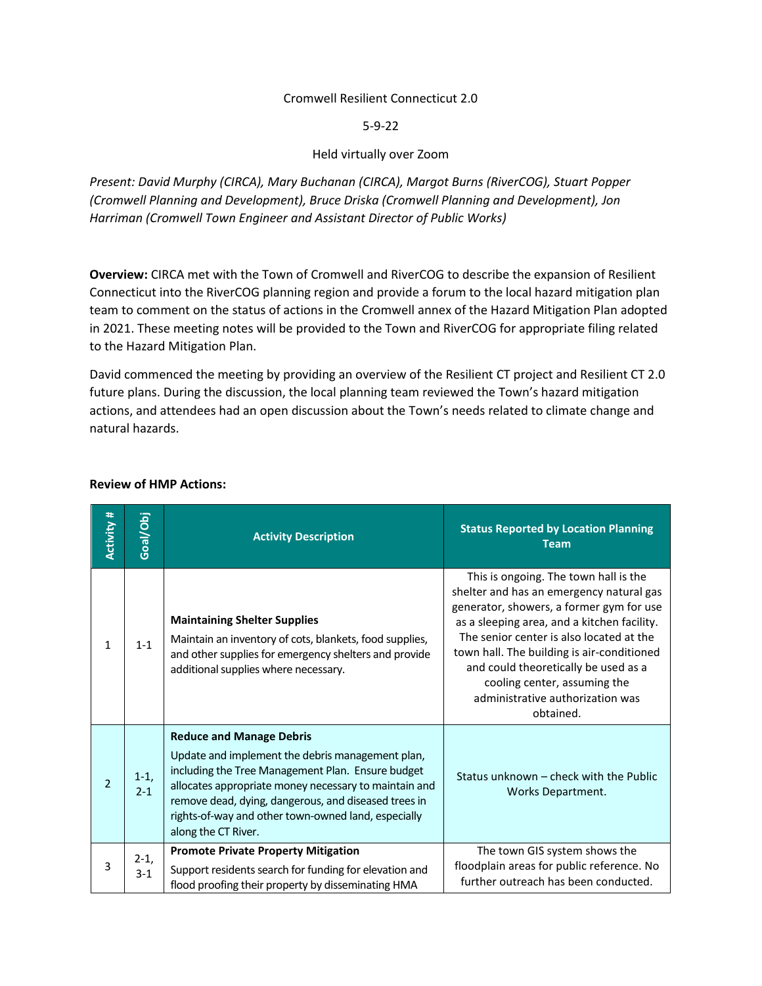#### Cromwell Resilient Connecticut 2.0

5-9-22

### Held virtually over Zoom

*Present: David Murphy (CIRCA), Mary Buchanan (CIRCA), Margot Burns (RiverCOG), Stuart Popper (Cromwell Planning and Development), Bruce Driska (Cromwell Planning and Development), Jon Harriman (Cromwell Town Engineer and Assistant Director of Public Works)*

**Overview:** CIRCA met with the Town of Cromwell and RiverCOG to describe the expansion of Resilient Connecticut into the RiverCOG planning region and provide a forum to the local hazard mitigation plan team to comment on the status of actions in the Cromwell annex of the Hazard Mitigation Plan adopted in 2021. These meeting notes will be provided to the Town and RiverCOG for appropriate filing related to the Hazard Mitigation Plan.

David commenced the meeting by providing an overview of the Resilient CT project and Resilient CT 2.0 future plans. During the discussion, the local planning team reviewed the Town's hazard mitigation actions, and attendees had an open discussion about the Town's needs related to climate change and natural hazards.

| Activity #     | Goal/Obj          | <b>Activity Description</b>                                                                                                                                                                                                                                                                                                             | <b>Status Reported by Location Planning</b><br><b>Team</b>                                                                                                                                                                                                                                                                                                                                      |
|----------------|-------------------|-----------------------------------------------------------------------------------------------------------------------------------------------------------------------------------------------------------------------------------------------------------------------------------------------------------------------------------------|-------------------------------------------------------------------------------------------------------------------------------------------------------------------------------------------------------------------------------------------------------------------------------------------------------------------------------------------------------------------------------------------------|
| $\mathbf{1}$   | $1 - 1$           | <b>Maintaining Shelter Supplies</b><br>Maintain an inventory of cots, blankets, food supplies,<br>and other supplies for emergency shelters and provide<br>additional supplies where necessary.                                                                                                                                         | This is ongoing. The town hall is the<br>shelter and has an emergency natural gas<br>generator, showers, a former gym for use<br>as a sleeping area, and a kitchen facility.<br>The senior center is also located at the<br>town hall. The building is air-conditioned<br>and could theoretically be used as a<br>cooling center, assuming the<br>administrative authorization was<br>obtained. |
| $\overline{2}$ | $1-1,$<br>$2 - 1$ | <b>Reduce and Manage Debris</b><br>Update and implement the debris management plan,<br>including the Tree Management Plan. Ensure budget<br>allocates appropriate money necessary to maintain and<br>remove dead, dying, dangerous, and diseased trees in<br>rights-of-way and other town-owned land, especially<br>along the CT River. | Status unknown – check with the Public<br>Works Department.                                                                                                                                                                                                                                                                                                                                     |
| 3              | $2-1,$<br>$3 - 1$ | <b>Promote Private Property Mitigation</b><br>Support residents search for funding for elevation and<br>flood proofing their property by disseminating HMA                                                                                                                                                                              | The town GIS system shows the<br>floodplain areas for public reference. No<br>further outreach has been conducted.                                                                                                                                                                                                                                                                              |

#### **Review of HMP Actions:**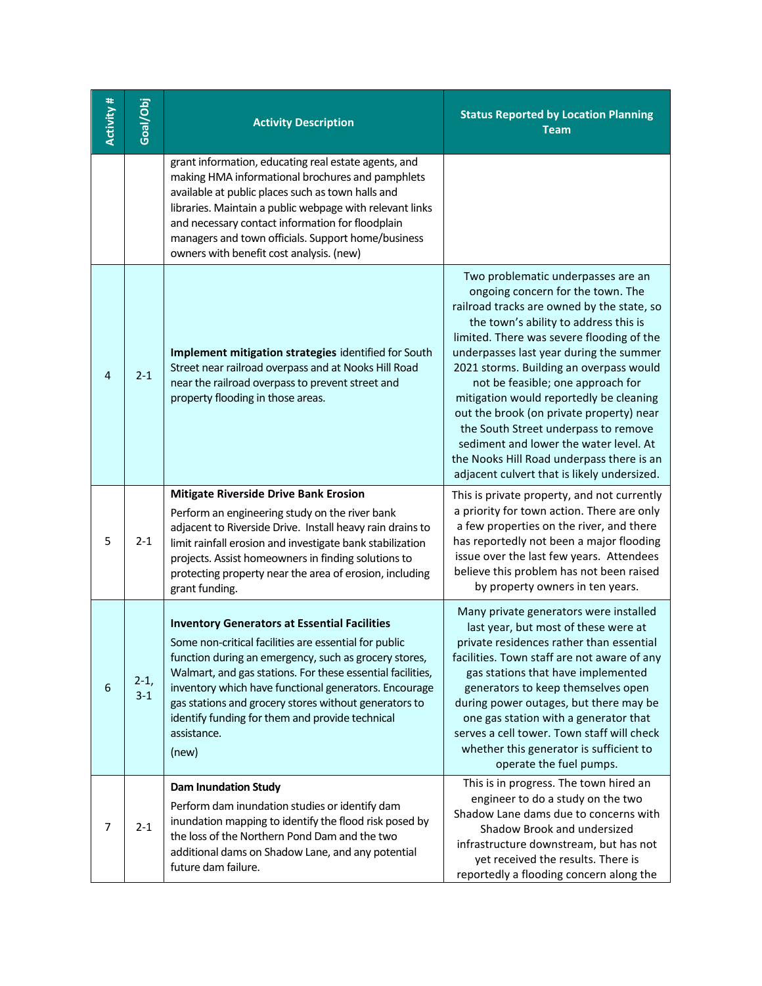| <b>Activity#</b> | Goal/Obj          | <b>Activity Description</b>                                                                                                                                                                                                                                                                                                                                                                                                      | <b>Status Reported by Location Planning</b><br><b>Team</b>                                                                                                                                                                                                                                                                                                                                                                                                                                                                                                                                                  |
|------------------|-------------------|----------------------------------------------------------------------------------------------------------------------------------------------------------------------------------------------------------------------------------------------------------------------------------------------------------------------------------------------------------------------------------------------------------------------------------|-------------------------------------------------------------------------------------------------------------------------------------------------------------------------------------------------------------------------------------------------------------------------------------------------------------------------------------------------------------------------------------------------------------------------------------------------------------------------------------------------------------------------------------------------------------------------------------------------------------|
|                  |                   | grant information, educating real estate agents, and<br>making HMA informational brochures and pamphlets<br>available at public places such as town halls and<br>libraries. Maintain a public webpage with relevant links<br>and necessary contact information for floodplain<br>managers and town officials. Support home/business<br>owners with benefit cost analysis. (new)                                                  |                                                                                                                                                                                                                                                                                                                                                                                                                                                                                                                                                                                                             |
| 4                | $2 - 1$           | Implement mitigation strategies identified for South<br>Street near railroad overpass and at Nooks Hill Road<br>near the railroad overpass to prevent street and<br>property flooding in those areas.                                                                                                                                                                                                                            | Two problematic underpasses are an<br>ongoing concern for the town. The<br>railroad tracks are owned by the state, so<br>the town's ability to address this is<br>limited. There was severe flooding of the<br>underpasses last year during the summer<br>2021 storms. Building an overpass would<br>not be feasible; one approach for<br>mitigation would reportedly be cleaning<br>out the brook (on private property) near<br>the South Street underpass to remove<br>sediment and lower the water level. At<br>the Nooks Hill Road underpass there is an<br>adjacent culvert that is likely undersized. |
| 5                | $2 - 1$           | <b>Mitigate Riverside Drive Bank Erosion</b><br>Perform an engineering study on the river bank<br>adjacent to Riverside Drive. Install heavy rain drains to<br>limit rainfall erosion and investigate bank stabilization<br>projects. Assist homeowners in finding solutions to<br>protecting property near the area of erosion, including<br>grant funding.                                                                     | This is private property, and not currently<br>a priority for town action. There are only<br>a few properties on the river, and there<br>has reportedly not been a major flooding<br>issue over the last few years. Attendees<br>believe this problem has not been raised<br>by property owners in ten years.                                                                                                                                                                                                                                                                                               |
| 6                | $2-1,$<br>$3 - 1$ | <b>Inventory Generators at Essential Facilities</b><br>Some non-critical facilities are essential for public<br>function during an emergency, such as grocery stores,<br>Walmart, and gas stations. For these essential facilities,<br>inventory which have functional generators. Encourage<br>gas stations and grocery stores without generators to<br>identify funding for them and provide technical<br>assistance.<br>(new) | Many private generators were installed<br>last year, but most of these were at<br>private residences rather than essential<br>facilities. Town staff are not aware of any<br>gas stations that have implemented<br>generators to keep themselves open<br>during power outages, but there may be<br>one gas station with a generator that<br>serves a cell tower. Town staff will check<br>whether this generator is sufficient to<br>operate the fuel pumps.                                                                                                                                                |
| 7                | $2 - 1$           | <b>Dam Inundation Study</b><br>Perform dam inundation studies or identify dam<br>inundation mapping to identify the flood risk posed by<br>the loss of the Northern Pond Dam and the two<br>additional dams on Shadow Lane, and any potential<br>future dam failure.                                                                                                                                                             | This is in progress. The town hired an<br>engineer to do a study on the two<br>Shadow Lane dams due to concerns with<br>Shadow Brook and undersized<br>infrastructure downstream, but has not<br>yet received the results. There is<br>reportedly a flooding concern along the                                                                                                                                                                                                                                                                                                                              |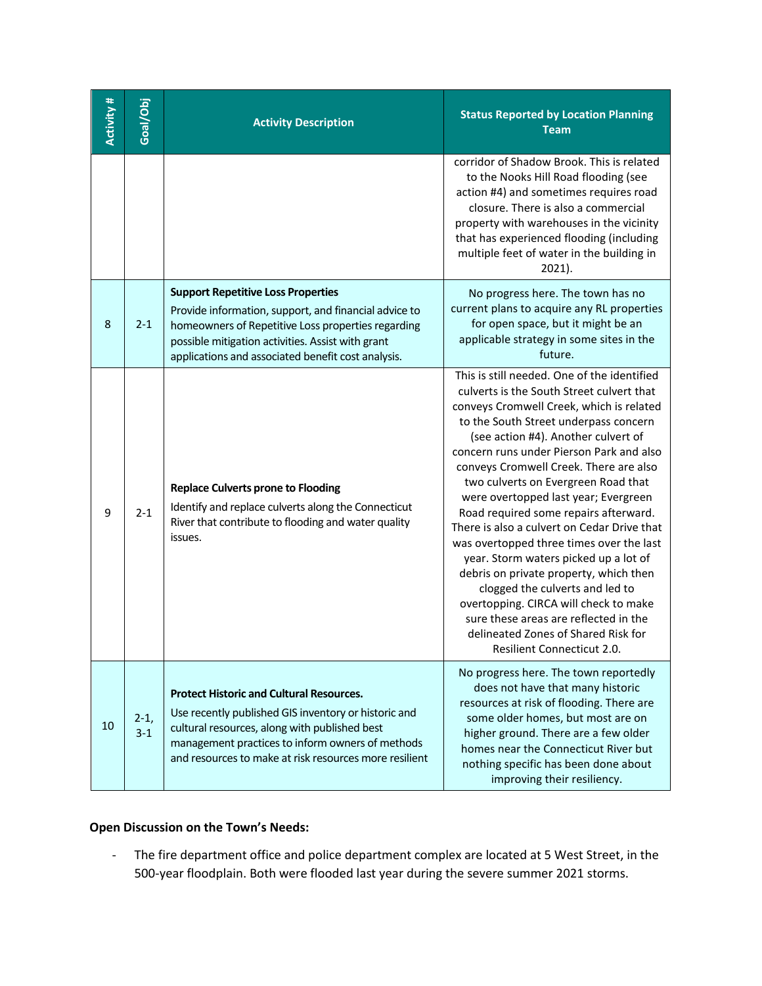| Activity # | Goal/Obj        | <b>Activity Description</b>                                                                                                                                                                                                                                            | <b>Status Reported by Location Planning</b><br><b>Team</b>                                                                                                                                                                                                                                                                                                                                                                                                                                                                                                                                                                                                                                                                                                                                                 |
|------------|-----------------|------------------------------------------------------------------------------------------------------------------------------------------------------------------------------------------------------------------------------------------------------------------------|------------------------------------------------------------------------------------------------------------------------------------------------------------------------------------------------------------------------------------------------------------------------------------------------------------------------------------------------------------------------------------------------------------------------------------------------------------------------------------------------------------------------------------------------------------------------------------------------------------------------------------------------------------------------------------------------------------------------------------------------------------------------------------------------------------|
|            |                 |                                                                                                                                                                                                                                                                        | corridor of Shadow Brook. This is related<br>to the Nooks Hill Road flooding (see<br>action #4) and sometimes requires road<br>closure. There is also a commercial<br>property with warehouses in the vicinity<br>that has experienced flooding (including<br>multiple feet of water in the building in<br>2021).                                                                                                                                                                                                                                                                                                                                                                                                                                                                                          |
| 8          | $2 - 1$         | <b>Support Repetitive Loss Properties</b><br>Provide information, support, and financial advice to<br>homeowners of Repetitive Loss properties regarding<br>possible mitigation activities. Assist with grant<br>applications and associated benefit cost analysis.    | No progress here. The town has no<br>current plans to acquire any RL properties<br>for open space, but it might be an<br>applicable strategy in some sites in the<br>future.                                                                                                                                                                                                                                                                                                                                                                                                                                                                                                                                                                                                                               |
| 9          | $2 - 1$         | <b>Replace Culverts prone to Flooding</b><br>Identify and replace culverts along the Connecticut<br>River that contribute to flooding and water quality<br>issues.                                                                                                     | This is still needed. One of the identified<br>culverts is the South Street culvert that<br>conveys Cromwell Creek, which is related<br>to the South Street underpass concern<br>(see action #4). Another culvert of<br>concern runs under Pierson Park and also<br>conveys Cromwell Creek. There are also<br>two culverts on Evergreen Road that<br>were overtopped last year; Evergreen<br>Road required some repairs afterward.<br>There is also a culvert on Cedar Drive that<br>was overtopped three times over the last<br>year. Storm waters picked up a lot of<br>debris on private property, which then<br>clogged the culverts and led to<br>overtopping. CIRCA will check to make<br>sure these areas are reflected in the<br>delineated Zones of Shared Risk for<br>Resilient Connecticut 2.0. |
| 10         | $2-1,$<br>$3-1$ | <b>Protect Historic and Cultural Resources.</b><br>Use recently published GIS inventory or historic and<br>cultural resources, along with published best<br>management practices to inform owners of methods<br>and resources to make at risk resources more resilient | No progress here. The town reportedly<br>does not have that many historic<br>resources at risk of flooding. There are<br>some older homes, but most are on<br>higher ground. There are a few older<br>homes near the Connecticut River but<br>nothing specific has been done about<br>improving their resiliency.                                                                                                                                                                                                                                                                                                                                                                                                                                                                                          |

# **Open Discussion on the Town's Needs:**

- The fire department office and police department complex are located at 5 West Street, in the 500-year floodplain. Both were flooded last year during the severe summer 2021 storms.